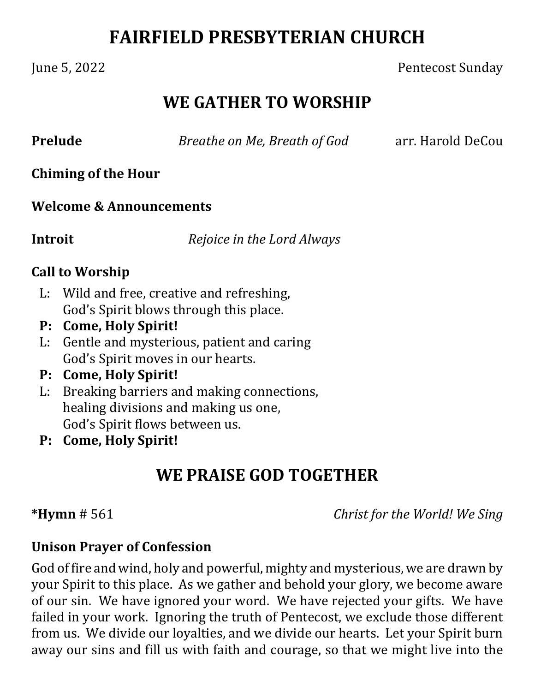# **FAIRFIELD PRESBYTERIAN CHURCH**

### June 5, 2022 Pentecost Sunday

## **WE GATHER TO WORSHIP**

**Prelude** *Breathe on Me, Breath of God arr. Harold DeCou* 

**Chiming of the Hour**

### **Welcome & Announcements**

**Introit**  *Rejoice in the Lord Always*

### **Call to Worship**

- L: Wild and free, creative and refreshing, God's Spirit blows through this place.
- **P: Come, Holy Spirit!**
- L: Gentle and mysterious, patient and caring God's Spirit moves in our hearts.
- **P: Come, Holy Spirit!**
- L: Breaking barriers and making connections, healing divisions and making us one, God's Spirit flows between us.
- **P: Come, Holy Spirit!**

## **WE PRAISE GOD TOGETHER**

**\*Hymn** # 561 *Christ for the World! We Sing*

### **Unison Prayer of Confession**

God of fire and wind, holy and powerful, mighty and mysterious, we are drawn by your Spirit to this place. As we gather and behold your glory, we become aware of our sin. We have ignored your word. We have rejected your gifts. We have failed in your work. Ignoring the truth of Pentecost, we exclude those different from us. We divide our loyalties, and we divide our hearts. Let your Spirit burn away our sins and fill us with faith and courage, so that we might live into the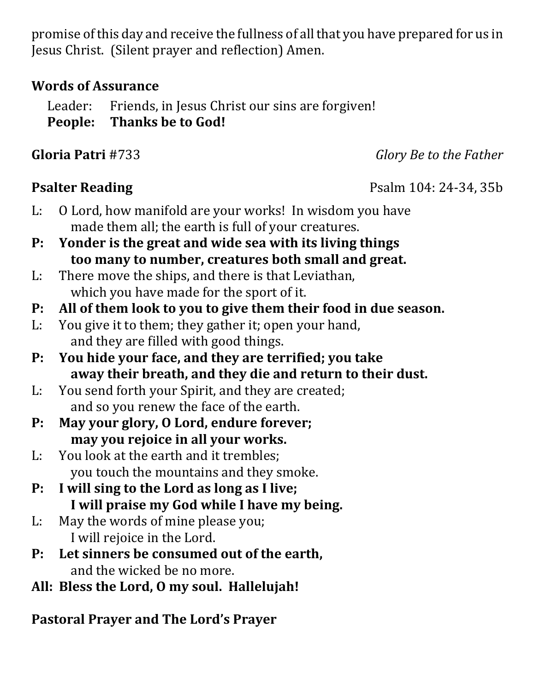promise of this day and receive the fullness of all that you have prepared for us in Jesus Christ. (Silent prayer and reflection) Amen.

### **Words of Assurance**

Leader: Friends, in Jesus Christ our sins are forgiven! **People: Thanks be to God!**

**Gloria Patri** #733 *Glory Be to the Father*

- L: O Lord, how manifold are your works! In wisdom you have made them all; the earth is full of your creatures.
- **P: Yonder is the great and wide sea with its living things too many to number, creatures both small and great.**
- L: There move the ships, and there is that Leviathan, which you have made for the sport of it.
- **P: All of them look to you to give them their food in due season.**
- L: You give it to them; they gather it; open your hand, and they are filled with good things.
- **P: You hide your face, and they are terrified; you take away their breath, and they die and return to their dust.**
- L: You send forth your Spirit, and they are created; and so you renew the face of the earth.
- **P: May your glory, O Lord, endure forever; may you rejoice in all your works.**
- L: You look at the earth and it trembles; you touch the mountains and they smoke.
- **P: I will sing to the Lord as long as I live; I will praise my God while I have my being.**
- L: May the words of mine please you; I will rejoice in the Lord.
- **P: Let sinners be consumed out of the earth,** and the wicked be no more.
- **All: Bless the Lord, O my soul. Hallelujah!**

**Pastoral Prayer and The Lord's Prayer**

## **Psalter Reading** Psalm 104: 24-34, 35b